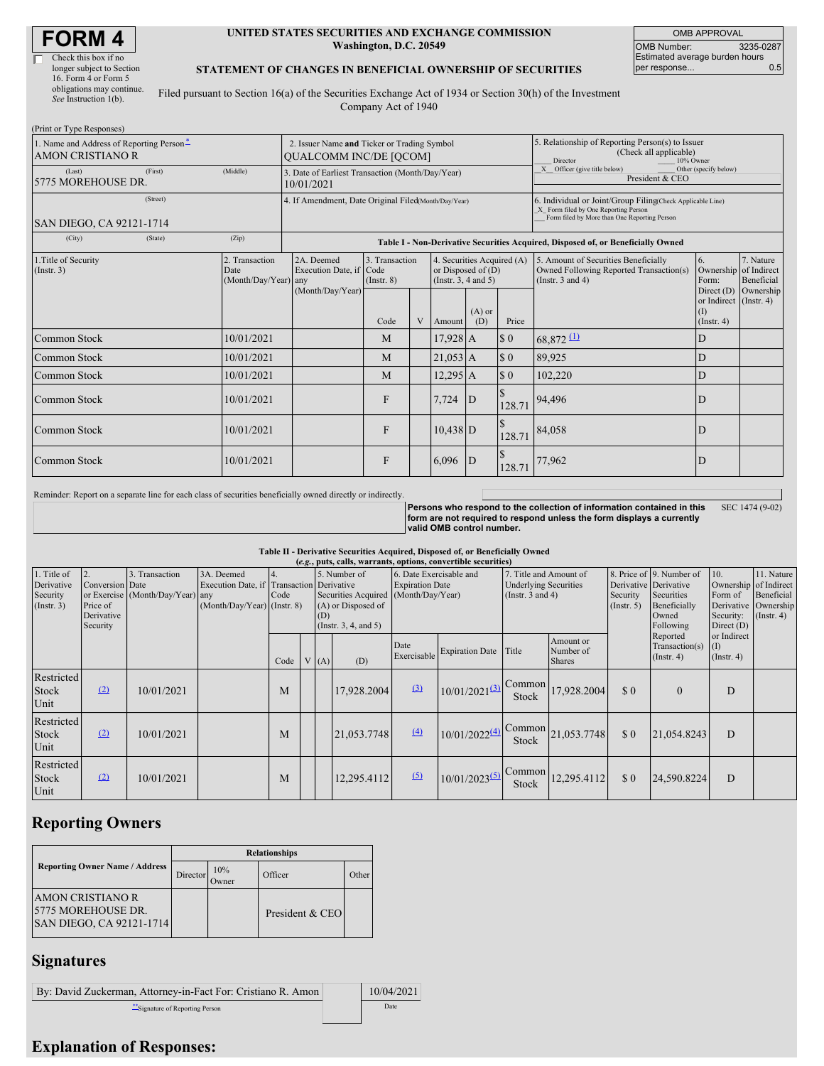$\overline{\Gamma}$ 

(Print or Type Responses)

| Check this box if no      |
|---------------------------|
| longer subject to Section |
| 16. Form 4 or Form 5      |
| obligations may continue. |
| See Instruction 1(b).     |

#### **UNITED STATES SECURITIES AND EXCHANGE COMMISSION Washington, D.C. 20549**

OMB APPROVAL OMB Number: 3235-0287 Estimated average burden hours<br>per response... 0.5 per response...

### **STATEMENT OF CHANGES IN BENEFICIAL OWNERSHIP OF SECURITIES**

Filed pursuant to Section 16(a) of the Securities Exchange Act of 1934 or Section 30(h) of the Investment Company Act of 1940

| 1. Name and Address of Reporting Person*<br><b>AMON CRISTIANO R</b> |          | 2. Issuer Name and Ticker or Trading Symbol<br><b>OUALCOMM INC/DE [OCOM]</b> |                                                                |                                   |                |                                                                                |                 | 5. Relationship of Reporting Person(s) to Issuer<br>(Check all applicable)<br>Director<br>10% Owner                                                |                                                                                                          |                                                                        |                                        |  |
|---------------------------------------------------------------------|----------|------------------------------------------------------------------------------|----------------------------------------------------------------|-----------------------------------|----------------|--------------------------------------------------------------------------------|-----------------|----------------------------------------------------------------------------------------------------------------------------------------------------|----------------------------------------------------------------------------------------------------------|------------------------------------------------------------------------|----------------------------------------|--|
| (Last)<br>5775 MOREHOUSE DR.                                        | (First)  | (Middle)                                                                     | 3. Date of Earliest Transaction (Month/Day/Year)<br>10/01/2021 |                                   |                |                                                                                |                 |                                                                                                                                                    | X Officer (give title below)<br>Other (specify below)<br>President & CEO                                 |                                                                        |                                        |  |
| SAN DIEGO, CA 92121-1714                                            | (Street) |                                                                              | 4. If Amendment, Date Original Filed(Month/Day/Year)           |                                   |                |                                                                                |                 | 6. Individual or Joint/Group Filing(Check Applicable Line)<br>X Form filed by One Reporting Person<br>Form filed by More than One Reporting Person |                                                                                                          |                                                                        |                                        |  |
| (City)                                                              | (State)  | (Zip)                                                                        |                                                                |                                   |                |                                                                                |                 |                                                                                                                                                    | Table I - Non-Derivative Securities Acquired, Disposed of, or Beneficially Owned                         |                                                                        |                                        |  |
| 1. Title of Security<br>$($ Instr. 3 $)$                            |          | 2. Transaction<br>Date<br>(Month/Day/Year) any                               | 2A. Deemed<br>Execution Date, if Code                          | 3. Transaction<br>$($ Instr. $8)$ |                | 4. Securities Acquired (A)<br>or Disposed of $(D)$<br>(Instr. $3, 4$ and $5$ ) |                 |                                                                                                                                                    | 5. Amount of Securities Beneficially<br>Owned Following Reported Transaction(s)<br>(Instr. $3$ and $4$ ) | <sup>6.</sup><br>Ownership<br>Form:                                    | 7. Nature<br>of Indirect<br>Beneficial |  |
|                                                                     |          |                                                                              | (Month/Day/Year)                                               | Code                              | $\overline{V}$ | Amount                                                                         | $(A)$ or<br>(D) | Price                                                                                                                                              |                                                                                                          | Direct $(D)$<br>or Indirect (Instr. 4)<br>$\Omega$<br>$($ Instr. 4 $)$ | Ownership                              |  |
| Common Stock                                                        |          | 10/01/2021                                                                   |                                                                | M                                 |                | $17,928$ A                                                                     |                 | \$0                                                                                                                                                | $68,872 \text{ 11}$                                                                                      | $\mathbf{D}$                                                           |                                        |  |
| Common Stock                                                        |          | 10/01/2021                                                                   |                                                                | M                                 |                | $21,053$ A                                                                     |                 | $\boldsymbol{\mathsf{S}}$ 0                                                                                                                        | 89,925                                                                                                   | $\overline{D}$                                                         |                                        |  |
| Common Stock                                                        |          | 10/01/2021                                                                   |                                                                | M                                 |                | $12,295$ A                                                                     |                 | $\sqrt{3}0$                                                                                                                                        | 102,220                                                                                                  | D                                                                      |                                        |  |
| Common Stock                                                        |          | 10/01/2021                                                                   |                                                                | F                                 |                | 7,724                                                                          | $\mathbf{D}$    | 128.71                                                                                                                                             | 94,496                                                                                                   | D                                                                      |                                        |  |
| Common Stock                                                        |          | 10/01/2021                                                                   |                                                                | F                                 |                | $10,438$ D                                                                     |                 | 128.71                                                                                                                                             | 84,058                                                                                                   | D                                                                      |                                        |  |
| Common Stock                                                        |          | 10/01/2021                                                                   |                                                                | F                                 |                | 6,096                                                                          | D               | 128.71                                                                                                                                             | 77,962                                                                                                   | D                                                                      |                                        |  |

Reminder: Report on a separate line for each class of securities beneficially owned directly or indirectly.

**Persons who respond to the collection of information contained in this form are not required to respond unless the form displays a currently valid OMB control number.** SEC 1474 (9-02)

#### **Table II - Derivative Securities Acquired, Disposed of, or Beneficially Owned**

| (e.g., puts, calls, warrants, options, convertible securities) |                                                       |                                                    |                                                                   |            |                                                                                                                                             |      |                                                   |                     |                                                                                 |                 |                                                       |                                                                              |                                                                      |                                                                      |  |
|----------------------------------------------------------------|-------------------------------------------------------|----------------------------------------------------|-------------------------------------------------------------------|------------|---------------------------------------------------------------------------------------------------------------------------------------------|------|---------------------------------------------------|---------------------|---------------------------------------------------------------------------------|-----------------|-------------------------------------------------------|------------------------------------------------------------------------------|----------------------------------------------------------------------|----------------------------------------------------------------------|--|
| 1. Title of<br>Derivative<br>Security<br>$($ Instr. 3 $)$      | Conversion Date<br>Price of<br>Derivative<br>Security | 3. Transaction<br>or Exercise (Month/Day/Year) any | 3A. Deemed<br>Execution Date, if<br>$(Month/Day/Year)$ (Instr. 8) | 4.<br>Code | 5. Number of<br><b>Transaction</b> Derivative<br>Securities Acquired (Month/Day/Year)<br>(A) or Disposed of<br>(D)<br>(Insert. 3, 4, and 5) |      | 6. Date Exercisable and<br><b>Expiration Date</b> |                     | 7. Title and Amount of<br><b>Underlying Securities</b><br>(Instr. $3$ and $4$ ) |                 | Derivative Derivative<br>Security<br>$($ Instr. 5 $)$ | 8. Price of 9. Number of<br>Securities<br>Beneficially<br>Owned<br>Following | 10.<br>Ownership of Indirect<br>Form of<br>Security:<br>Direct $(D)$ | 11. Nature<br>Beneficial<br>Derivative Ownership<br>$($ Instr. 4 $)$ |  |
|                                                                |                                                       |                                                    |                                                                   | Code       |                                                                                                                                             | V(A) | (D)                                               | Date<br>Exercisable | Expiration Date Title                                                           |                 | Amount or<br>Number of<br><b>Shares</b>               |                                                                              | Reported<br>Transaction(s)<br>(Insert. 4)                            | or Indirect<br>(I)<br>$($ Instr. 4 $)$                               |  |
| Restricted<br><b>Stock</b><br>Unit                             | (2)                                                   | 10/01/2021                                         |                                                                   | M          |                                                                                                                                             |      | 17,928.2004                                       | (3)                 | $10/01/2021^{(3)}$                                                              | Common<br>Stock | 17,928.2004                                           | \$0                                                                          | $\mathbf{0}$                                                         | D                                                                    |  |
| Restricted<br>Stock<br>Unit                                    | (2)                                                   | 10/01/2021                                         |                                                                   | M          |                                                                                                                                             |      | 21,053.7748                                       | (4)                 | $10/01/2022^{(4)}$                                                              | Common<br>Stock | 21,053.7748                                           | \$0                                                                          | 21,054.8243                                                          | D                                                                    |  |
| Restricted<br>Stock<br>Unit                                    | (2)                                                   | 10/01/2021                                         |                                                                   | M          |                                                                                                                                             |      | 12,295.4112                                       | (5)                 | $10/01/2023^{(5)}$                                                              | Common<br>Stock | 12,295.4112                                           | \$0                                                                          | 24,590.8224                                                          | D                                                                    |  |

# **Reporting Owners**

|                                                                                  | <b>Relationships</b> |              |                 |       |  |  |  |  |
|----------------------------------------------------------------------------------|----------------------|--------------|-----------------|-------|--|--|--|--|
| <b>Reporting Owner Name / Address</b>                                            | Director             | 10%<br>Owner | Officer         | Other |  |  |  |  |
| <b>AMON CRISTIANO R</b><br>5775 MOREHOUSE DR.<br><b>SAN DIEGO, CA 92121-1714</b> |                      |              | President & CEO |       |  |  |  |  |

### **Signatures**

| By: David Zuckerman, Attorney-in-Fact For: Cristiano R. Amon | 10/04/2021 |
|--------------------------------------------------------------|------------|
| Signature of Reporting Person                                | Date       |
|                                                              |            |

## **Explanation of Responses:**